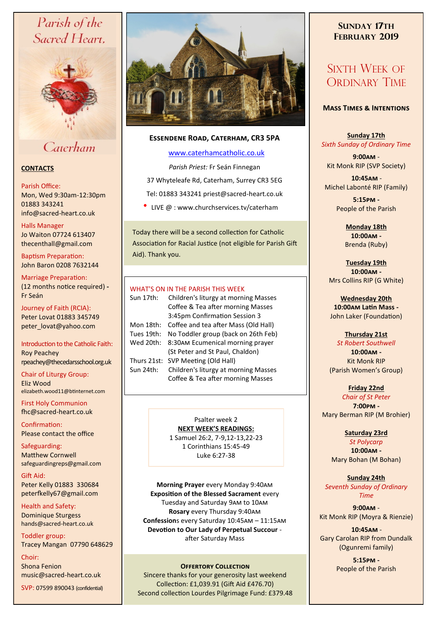# Parish of the Sacred Heart,



# Caterham

#### **CONTACTS**

#### Parish Office:

Mon, Wed 9:30am-12:30pm 01883 343241 info@sacred-heart.co.uk .

#### Halls Manager

Jo Waiton 07724 613407 thecenthall@gmail.com

Baptism Preparation: John Baron 0208 7632144

Marriage Preparation: (12 months notice required) **-** Fr Seán

Journey of Faith (RCIA): Peter Lovat 01883 345749 peter\_lovat@yahoo.com

#### Introduction to the Catholic Faith: Roy Peachey rpeachey@thecedarsschool.org.uk

Chair of Liturgy Group: Eliz Wood elizabeth.wood11@btinternet.com

First Holy Communion fhc@sacred-heart.co.uk

Confirmation: Please contact the office

Safeguarding: Matthew Cornwell safeguardingreps@gmail.com

Gift Aid: Peter Kelly 01883 330684 peterfkelly67@gmail.com

Health and Safety: Dominique Sturgess hands@sacred-heart.co.uk

Toddler group: Tracey Mangan 07790 648629

Choir: Shona Fenion music@sacred-heart.co.uk

SVP: 07599 890043 (confidential)



### **Essendene Road, Caterham, CR3 5PA**

#### [www.caterhamcatholic.co.uk](http://Www.caterhamcatholic.co.uk)

*Parish Priest:* Fr Seán Finnegan

37 Whyteleafe Rd, Caterham, Surrey CR3 5EG

- Tel: 01883 343241 priest@sacred-heart.co.uk
- LIVE  $\omega$  : www.churchservices.tv/caterham

Today there will be a second collection for Catholic Association for Racial Justice (not eligible for Parish Gift Aid). Thank you.

#### WHAT'S ON IN THE PARISH THIS WEEK.

| Sun 17th:   | Children's liturgy at morning Masses<br>Coffee & Tea after morning Masses<br>3:45pm Confirmation Session 3 |
|-------------|------------------------------------------------------------------------------------------------------------|
| Mon 18th:   | Coffee and tea after Mass (Old Hall)                                                                       |
| Tues 19th:  | No Toddler group (back on 26th Feb)                                                                        |
| Wed 20th:   | 8:30AM Ecumenical morning prayer<br>(St Peter and St Paul, Chaldon)                                        |
| Thurs 21st: | SVP Meeting (Old Hall)                                                                                     |
| Sun 24th:   | Children's liturgy at morning Masses<br>Coffee & Tea after morning Masses                                  |

Psalter week 2 **NEXT WEEK'S READINGS:**  1 Samuel 26:2, 7-9,12-13,22-23 1 Corinthians 15:45-49

Luke 6:27-38

**Morning Prayer** every Monday 9:40am **Exposition of the Blessed Sacrament** every Tuesday and Saturday 9am to 10am **Rosary** every Thursday 9:40am **Confession**s every Saturday 10:45am – 11:15am **Devotion to Our Lady of Perpetual Succour**  after Saturday Mass

## **OFFERTORY COLLECTION COLLECTION People of the Parish**

Sincere thanks for your generosity last weekend Collection: £1,039.91 (Gift Aid £476.70) Second collection Lourdes Pilgrimage Fund: £379.48

## **SUNDAY 17TH FEBRUARY 2019**

# SIXTH WEEK OF ORDINARY TIME

#### **Mass Times & Intentions**

**Sunday 17th** *Sixth Sunday of Ordinary Time*

**9:00am** - Kit Monk RIP (SVP Society)

.**10:45am** - Michel Labonté RIP (Family)

> **5:15pm -** People of the Parish

**Monday 18th 10:00am -**  Brenda (Ruby)

**Tuesday 19th 10:00am -** Mrs Collins RIP (G White)

**Wednesday 20th 10:00am Latin Mass -** John Laker (Foundation)

## **Thursday 21st**

*St Robert Southwell* **10:00am -** Kit Monk RIP (Parish Women's Group)

**Friday 22nd** *Chair of St Peter* **7:00pm -** Mary Berman RIP (M Brohier)

#### **Saturday 23rd**

*St Polycarp* **10:00am -**  Mary Bohan (M Bohan)

**Sunday 24th** *Seventh Sunday of Ordinary Time*

**9:00am** - Kit Monk RIP (Moyra & Rienzie)

.**10:45am** - Gary Carolan RIP from Dundalk (Ogunremi family)

**5:15pm -**